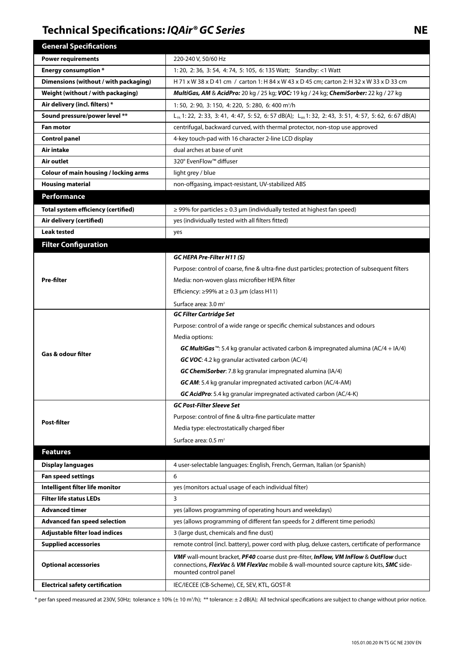## **Technical Specifications:** *IQAir® GC Series* **NE**

| <b>General Specifications</b>                |                                                                                                                                                                                                                 |
|----------------------------------------------|-----------------------------------------------------------------------------------------------------------------------------------------------------------------------------------------------------------------|
| <b>Power requirements</b>                    | 220-240 V, 50/60 Hz                                                                                                                                                                                             |
| <b>Energy consumption *</b>                  | 1: 20, 2: 36, 3: 54, 4: 74, 5: 105, 6: 135 Watt; Standby: <1 Watt                                                                                                                                               |
| Dimensions (without / with packaging)        | H 71 x W 38 x D 41 cm / carton 1: H 84 x W 43 x D 45 cm; carton 2: H 32 x W 33 x D 33 cm                                                                                                                        |
| Weight (without / with packaging)            | MultiGas, AM & AcidPro: 20 kg / 25 kg; VOC: 19 kg / 24 kg; ChemiSorber: 22 kg / 27 kg                                                                                                                           |
| Air delivery (incl. filters) *               | 1:50, 2:90, 3:150, 4:220, 5:280, 6:400 m <sup>3</sup> /h                                                                                                                                                        |
| Sound pressure/power level **                | L <sub>PA</sub> 1: 22, 2: 33, 3: 41, 4: 47, 5: 52, 6: 57 dB(A); L <sub>Wa</sub> 1: 32, 2: 43, 3: 51, 4: 57, 5: 62, 6: 67 dB(A)                                                                                  |
| <b>Fan motor</b>                             | centrifugal, backward curved, with thermal protector, non-stop use approved                                                                                                                                     |
| <b>Control panel</b>                         | 4-key touch-pad with 16 character 2-line LCD display                                                                                                                                                            |
| Air intake                                   | dual arches at base of unit                                                                                                                                                                                     |
| Air outlet                                   | 320° EvenFlow™ diffuser                                                                                                                                                                                         |
| <b>Colour of main housing / locking arms</b> | light grey / blue                                                                                                                                                                                               |
| <b>Housing material</b>                      | non-offgasing, impact-resistant, UV-stabilized ABS                                                                                                                                                              |
| <b>Performance</b>                           |                                                                                                                                                                                                                 |
| <b>Total system efficiency (certified)</b>   | $\ge$ 99% for particles $\ge$ 0.3 µm (individually tested at highest fan speed)                                                                                                                                 |
| Air delivery (certified)                     | yes (individually tested with all filters fitted)                                                                                                                                                               |
| <b>Leak tested</b>                           | yes                                                                                                                                                                                                             |
| <b>Filter Configuration</b>                  |                                                                                                                                                                                                                 |
|                                              | GC HEPA Pre-Filter H11 (S)                                                                                                                                                                                      |
| Pre-filter                                   | Purpose: control of coarse, fine & ultra-fine dust particles; protection of subsequent filters                                                                                                                  |
|                                              | Media: non-woven glass microfiber HEPA filter                                                                                                                                                                   |
|                                              | Efficiency: $\geq$ 99% at $\geq$ 0.3 µm (class H11)                                                                                                                                                             |
|                                              | Surface area: 3.0 m <sup>2</sup>                                                                                                                                                                                |
| <b>Gas &amp; odour filter</b>                | <b>GC Filter Cartridge Set</b>                                                                                                                                                                                  |
|                                              | Purpose: control of a wide range or specific chemical substances and odours                                                                                                                                     |
|                                              | Media options:                                                                                                                                                                                                  |
|                                              | <b>GC MultiGas</b> <sup>11</sup> : 5.4 kg granular activated carbon & impregnated alumina (AC/4 + IA/4)                                                                                                         |
|                                              | GC VOC: 4.2 kg granular activated carbon (AC/4)                                                                                                                                                                 |
|                                              | GC ChemiSorber: 7.8 kg granular impregnated alumina (IA/4)                                                                                                                                                      |
|                                              | <b>GC AM:</b> 5.4 kg granular impregnated activated carbon (AC/4-AM)                                                                                                                                            |
|                                              | <b>GC AcidPro:</b> 5.4 kg granular impregnated activated carbon (AC/4-K)                                                                                                                                        |
|                                              | <b>GC Post-Filter Sleeve Set</b>                                                                                                                                                                                |
| Post-filter                                  | Purpose: control of fine & ultra-fine particulate matter                                                                                                                                                        |
|                                              | Media type: electrostatically charged fiber                                                                                                                                                                     |
|                                              | Surface area: 0.5 m <sup>2</sup>                                                                                                                                                                                |
| <b>Features</b>                              |                                                                                                                                                                                                                 |
| <b>Display languages</b>                     | 4 user-selectable languages: English, French, German, Italian (or Spanish)                                                                                                                                      |
| <b>Fan speed settings</b>                    | 6                                                                                                                                                                                                               |
| Intelligent filter life monitor              | yes (monitors actual usage of each individual filter)                                                                                                                                                           |
| <b>Filter life status LEDs</b>               | 3                                                                                                                                                                                                               |
| <b>Advanced timer</b>                        | yes (allows programming of operating hours and weekdays)                                                                                                                                                        |
| <b>Advanced fan speed selection</b>          | yes (allows programming of different fan speeds for 2 different time periods)                                                                                                                                   |
| Adjustable filter load indices               | 3 (large dust, chemicals and fine dust)                                                                                                                                                                         |
| <b>Supplied accessories</b>                  | remote control (incl. battery), power cord with plug, deluxe casters, certificate of performance                                                                                                                |
| <b>Optional accessories</b>                  | <b>VMF</b> wall-mount bracket, PF40 coarse dust pre-filter, InFlow, VM InFlow & OutFlow duct<br>connections, FlexVac & VM FlexVac mobile & wall-mounted source capture kits, SMC side-<br>mounted control panel |
| <b>Electrical safety certification</b>       | IEC/IECEE (CB-Scheme), CE, SEV, KTL, GOST-R                                                                                                                                                                     |

\* per fan speed measured at 230V, 50Hz; tolerance ± 10% (± 10 m3 /h); \*\* tolerance: ± 2 dB(A); All technical specifications are subject to change without prior notice.